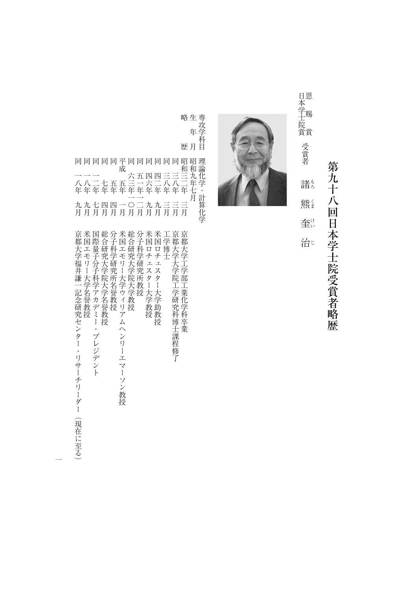第九十八回日本学士院受賞者略歴 第九十八回日本学士院受賞者略歴

もろくまけいじ恩賜賞 1本学士院賞 - 『『三三書 】 - 『

諸も

熊

奎

治じ

日本学士院賞 受賞者恩 賜 遺



|                  | 略 生<br>年                     | 専<br>攻<br>学<br>科                     |
|------------------|------------------------------|--------------------------------------|
| 歴                | 月                            | 日                                    |
| 眧<br>和<br>年<br>月 | 眧<br>和<br>力.<br>年<br>ł.<br>月 | 玾<br>論<br>化<br>学<br>計<br>算<br>化<br>学 |

|                                                                                                                                                            |                                                                              |                                                                              |                                |                                 |                                                                                                 |                                                            |          |                                                                                  |                                           | 年           |
|------------------------------------------------------------------------------------------------------------------------------------------------------------|------------------------------------------------------------------------------|------------------------------------------------------------------------------|--------------------------------|---------------------------------|-------------------------------------------------------------------------------------------------|------------------------------------------------------------|----------|----------------------------------------------------------------------------------|-------------------------------------------|-------------|
|                                                                                                                                                            |                                                                              |                                                                              |                                |                                 |                                                                                                 |                                                            |          |                                                                                  | 歴 月                                       |             |
| 同同同同同平同同同同同同昭                                                                                                                                              |                                                                              | 成                                                                            |                                |                                 |                                                                                                 |                                                            |          |                                                                                  | 和和                                        | 昭           |
|                                                                                                                                                            |                                                                              |                                                                              | 六                              | 五                               | 匹                                                                                               | 匹                                                          |          |                                                                                  |                                           | 九           |
| 八八二七五五三一六二<br>年年年年年年年年年                                                                                                                                    |                                                                              |                                                                              |                                |                                 |                                                                                                 |                                                            | 八八<br>年年 |                                                                                  | 年                                         | 年<br>七<br>月 |
| 九九七<br>月月月                                                                                                                                                 | 四四一〇<br>月月月月                                                                 |                                                                              |                                | 月月月月                            | 九九三                                                                                             |                                                            |          | 月                                                                                | 月                                         |             |
| 京<br>米<br>国<br>際<br>都<br>国<br>工<br>乇<br>福<br>ı)<br>分<br>井<br>1<br>科<br>謙<br>記<br>7<br>゚ヵ<br>念晉教<br>テ<br>究センター・リサーチリーダー<br>授<br>ξ<br>ー・プレジデント<br>現<br>3在に至る | 総<br>合<br>量研<br>科<br>子 究<br>学<br>研<br>学院<br>究<br>所<br>名誉教授<br>大学名誉<br>薮<br>授 | 分米総分米米<br>子国合子国国<br>工<br>乇<br>IJ<br>Ì<br>大<br>学<br>ウィリアムヘン<br>リーエマーソン<br>,教授 | 研<br>究<br>〈学院<br>一大学<br>教<br>授 | 科<br>学<br>研<br>究<br>所<br>教<br>授 | □<br>チ<br>I.<br>ス<br>y<br>$\prod_{\alpha\in\mathbb{Z}}\mathbb{Z}_{\alpha}$<br>Y<br>学<br>教助<br>授 | □<br>チ<br>$\mathcal{I}$<br>ス<br>タ<br>Ì<br>Y<br>学<br>教<br>授 | 博<br>Ł   | 亰<br>学都都<br>≸<br>学<br>院<br>T.<br>学<br>研<br>究<br>科<br>博<br>t:<br>諌<br>程<br>修<br>T | 京<br>т<br>学<br>部<br>化<br>学<br>科<br>卒<br>業 |             |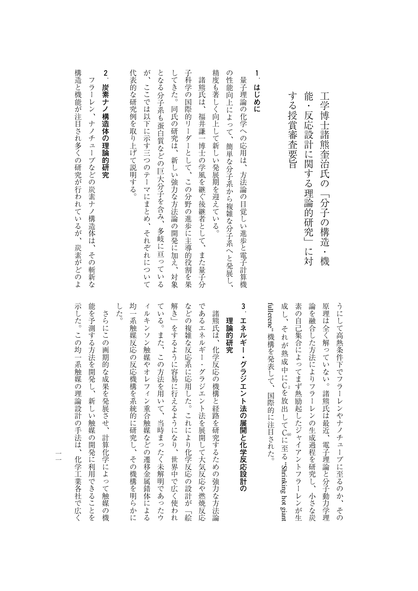| する授賞審査要旨                           |
|------------------------------------|
|                                    |
| 1<br>はじめに                          |
| 量子理論の化学への応用は、方法論の目覚しい進歩と電子計算機      |
| の性能向上によって、簡単な分子系から複雑な分子系へと発展し、     |
| 精度も著しく向上して新しい発展期を迎えている。            |
| 諸熊氏は、福井謙一博士の学風を継ぐ後継者として、また量子分      |
| 子科学の国際的リーダーとして、この分野の進歩に主導的役割を果     |
| してきた。同氏の研究は、新しい強力な方法論の開発に加え、<br>対象 |
| となる分子系も蛋白質などの巨大分子を含み、多岐に亘っている      |
| が、ここでは以下に示す三つのテーマにまとめ、それぞれについて     |
| 代表的な研究例を取り上げて説明する。                 |
| $\overline{a}$<br>炭素ナノ構造体の理論的研究    |
| フラーレン、ナノチューブなどの炭素ナノ構造体は、その斬新な      |
|                                    |

**樟逞と模前カ泊匡さオ多くの研究カ行オオているカ** たちの はいしょう こうしゅう こうしゅう こうしゅう こうしゅう こうしゅう こうしゅう こうしょう こうしょう こうしょう こうしょう こうしょう こうしょう 炭素カとのよ

> fullerene"機構を発表して、国際的に注目された。 うにして高熱条件下でフラーレンやナノチューブに至るのか、その fullerene" 素の自己集合によってまず熱励起したジャイアントフラーレンが生 論を融合した方法によりフラーレンの生成過程を研究し、小さな炭 原理は全く解っていない。諸熊氏は最近、電子理論と分子動力学理 成し、それが熟成中に 素の自己集合によってます。 まずある おおや しゅうしゃ しゅうしゃ しゅうしゅう しゅうしゅう しゅうしゅう しゅうしゅう しゅうしゅう しゅうしゅう しゅうしゅう しゅうしゅう しゅうしゅう しゅうしゅう しゅうしゅ 論を編者した方法には、小さな淡水の生成過程を研究し、小さな淡水の生成過程を研究し、小さな淡水の生成過程を開発している。 のことは、このことは、このことは、このことは、このことは、このことは、このことは、このことは、このことは、このことは、このことは、このことは、このことは、このことは、このことは、このことは、このことは つには、そのようなのか、そのようなのか、そのようなのか、そのようなのか、そのようなのか、そのようなのか、そのようなのか、そのようなのか、そのようなのか、そのようなのか、そのようなのか、そのようなのか、 機構を発表して、国際的に注目された。 C<br>C<br>C 6 0 Cに至る"Shrinking hotgiant

工学会 こうしゅうしょう こうしゅう こうしゅう こうしゅう こうしゅう こうしゅう こうしゅう こうしゅう こうしゅう こうしゅう こうしゅう こうしゅう ■ 「反応設計」に対応する理論的研究」に対応する理論の研究

工学博士諸熊奎治氏の「分子の構造・機

能・反応設計に関する理論的研究」に対

## **3エネルギー・グラジエント法の展開を保護している。**

理論的研究 **理論的研究** 

した。 均一系触媒反応の反応機構を系統的に研究し、その機構を明らかに ィルキンソン触媒やオレフィン重合触媒などの遷移金属錯体による ている。また、この方法を用いて、当時まったく未解明であったウ 解き」をするように容易に行えるようになり、世界中で広く使われ などの複雑な反応系に応用した。これにより化学反応の設計が「絵 であるエネルギー・グラジエント法を展開して大気反応や燃焼反応 した。 1、その後には、その機構を開発し、その機構を開発し、その機構を開発し、その機構を開発し、その機構を開発し、その機構を開発している。 イルキング しゅうしょう こうしゅう しゅうしゅう しゅうしゅう しゅうしゅう しゅうしゅう しゅうしゅう しゅうしゅう しゅうしゅう しゅうしゅう しゅうしゅう しゅうしゅう しゅうしゅう しゅうしゅう しゅうしゅう ている。また、この方法を用いて、当時まったくまた、また、当時まったくまた、当時まったり、当時まったくまた、当時まったり、当時まったり、当時まったくまた、また、当時まったく 解き」をするように容易に行えるようになり、世界中で広く使われ などの読み こんしゃ これには こんしゃ こんしゃ こんしゃ こんしゃ こんしゃ こんしゃ であるエネルギー・グラジエント法を保険して大気になるエネルギートグラジエント法を保険して大気反応や燃焼反応や燃焼反応を保険して大気を保険して大気を保険しました。 諸熊氏は、化学反応の機構と経路を研究するための強力な方法論 「その他の一体」とは、化学を研究するための強力な方法論によるための強力な方法論によるための強力な方法論によるための強力な方法論によるための強力な方法論によるための強力な方法論によるための強力な方法論に

示した。この均一系触媒の理論設計の手法は、化学工業各社で広く 能を予測する方法を開発し、新しい触媒の開発に利用できることを へいしゃ この一系 はんしゅう この 日本 この 日本 この 日本 この 日本 この 日本 この 日本 この 日本 この 日本 この 日本 この 日本 この 日本 この 日本 この 日本 この 日本 この 日本 この 日本 能を得る方法を開発し、新しい機能の開発し、新しい機能の開発に利用できることを開発し、新しい機能の開発に利用できることを開発し、新しい機能の開発に利用できることを開発し、新しい機能の開発に利用できること さらにこの画期的な成果を発展させ、計算化学によって触媒の機 さらにこの画期的な成果を発展させて、この場所には、この場所には、この場所には、この場所には、この場所には、この場所には、この場所には、この場所には、この場所には、この場所には、この場所には、この場所に

 $\equiv$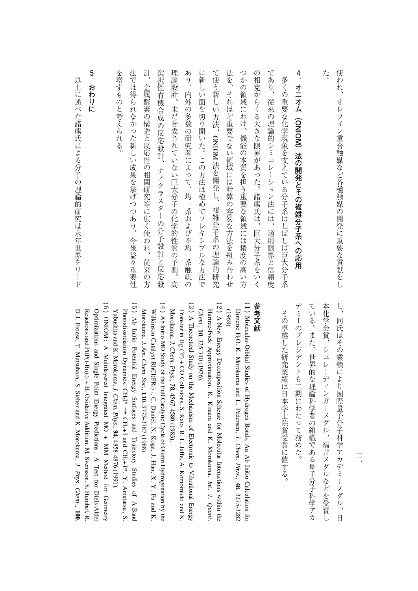| た。                                     |
|----------------------------------------|
| 4<br>オニオム(ONIOM)法の開発とその複雑分子系への応用       |
| 多くの重要な化学現象を支えている分子系はしばしば巨大分子系          |
| であり、<br>従来の理論的シミュレーション法には、<br>適用限界と信頼度 |
| の相克からくる大きな限界があった。<br>諸熊氏は、<br>巨大分子系をいく |
| つかの領域にわけ、<br>機能の本質を担う重要な領域には精度の高い方     |
| 法を、<br>それほど重要でない領域には計算の容易な方法を組み合わせ     |
| て使う新しい方法、ONIOM 法を開発し、複雑分子系の理論的研究       |
| に新し<br>い面を切り開いた。この方法は極めてフレキシブルな方法で     |
| あり、<br>内外の多数の研究者によって、均一系および不均一系触媒の     |
| 理論設計、<br>未だ合成されていない巨大分子の化学的性質の予測、<br>高 |
| 選択性有機合成の反応設計、ナノクラスターの分子設計と反応設          |
| 計<br>金属酵素の構造と反応性の相関研究等に広く使われ、<br>従来の方  |
| 法では得られなかった新しい成果を挙げつつあり、<br>今後益々重要性     |
| を増すものと考えられる。                           |
|                                        |

## **5おおり かんきょう かんきょう かんきょう かんきょう かんきょう かんきょう かんきょう かんきょう かんきょう かんきょう かんきょう かんきょう かんきょう かんきょう かんきょう かんきょう かんきょう かんきょう**

以上に述べた諸熊氏による分子の理論的研究は永年世界をリード いしょう いちのう はんしゅう こうしゅう こうしゅう こうしゅう こうしゅう こうしゅう こうしゅう こうしゅう こうしゅう こうしゅう こうしゅう こうしゅう

> し、同氏はその業績により国際量子分子科学アカデミーメダル、日 デミーのプレジデントも二期にわたって務めた。 ている。また、世界的な理論科学者の組織である量子分子科学アカ 本化学会賞、シュレーディンガーメダル、福井メダルなどを受賞し デミーのプレジデントも二期にわたって務めた。 でいる。また、世界的な理論科学者の組織である場合、その場合、世界的な理論科学者の組織である場合、世界的な理論科学者の組織である場合、世界的な理論科学者の組織である場合、世界的な理論科学者の組織である単 本化学会賞、シュレーディンガーメダル、福井メダルなどを受賞し し、同氏はその業績により国際量子分子科学アカデミーメダル、日

では、オレフィン重要なデータの開発をしていることをしているのは、そのことをしているのは、そのことをしていることをしていることをしていることをしていることをしていることをしていることをしていることをして

オレフィン重合触媒など各種触媒の開発に重要な貢献をし

使われ、

その卓越した研究業績は日本学士院賞受賞に値する。 その子では、その漫画の『その漫画』という「その漫画」という「その漫画」という「その漫画」という「その漫画」という「その漫画」という「その漫画」という「その漫画」という「その漫画」という「その漫画」とい

## 参考文献 **参考文献**

- (1) Molecular-Orbital Studies of Hydrogen Bonds. An Ab Initio Calculation for Dimeric H2O. K. Morokuma and L. Pedersen, *J. Chem. Phys.,* **48**, 3275-3282 (1968).
- (2) A New Energy Decomposition Scheme for Molecular Interactions within the Hartree-Fock Approximation. K. Kitaura and K. Morokuma, *Int . J . Quant . Chem.,* **10**, 325-340 (1976).
- (3) A Theoretical Study on the Mechanism of Electronic to Vibrational Energy Transferin,  $Hg (P) + CO$  Collisions. S. Kato, R. L. Jaffe, A. Komornicki and K. Morokuma, *J. Chem. Phys.,* **78**, 4567-4580(1983).
- (4) Ab Initio MO Study of the Full**Catalytic**  Cycle<u>ຊ</u> Olefin Hydrogenation $\mathsf{s}$  the Wilkinson Catalyst RhCl(PR3) .<br>م Daniel, N. Koga, J. Han, X. Y. Fu and K. Morokuma, *J. Am. Chem. Soc.,* **110**, 3773-3787(1988).
- (5) Ab Initio Potential Energy Surfaces and Trajectory Studies of A-Band Photodissociation Dynamics: CH3I\*  $\cdot$  CH<sub>3</sub>+1 and CH3+ I\*. Y. Amatatsu, $\mathbf 5$ Yabushita and K. Morokuma, *J. Chem. Phys.,* **94**, 4858-4876(1991).
- (6) ONIOM : A Multilayered Integrated $\mathbb N$  + MM Method for Geometry Reactions and $Pt(P(t-Bu)_3)_2 + H_2$ Optimizations and Single Point Energy Predictions.<br>D Test for Diels-Alder Oxidative Addition. M. Svensson, S. Humbel, R. D.J. Froese, T. Matsubara, S. Sieber and K. Morokuma, *J. Phys. Chem.,* **100**,